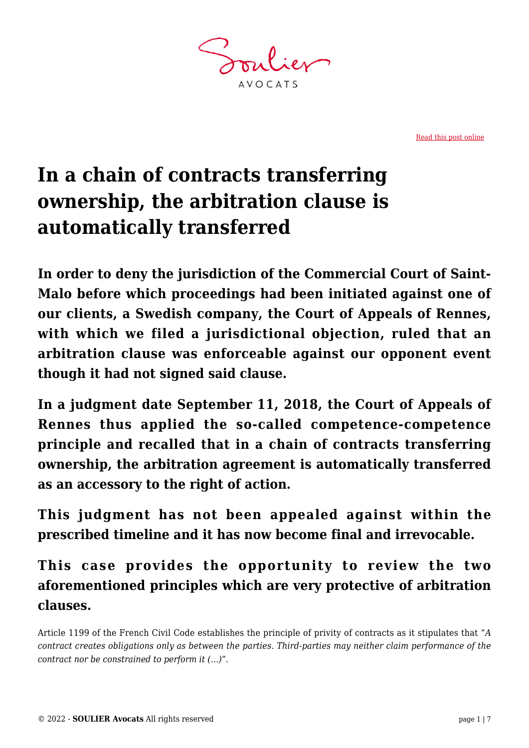**AVOCATS** 

[Read this post online](https://www.soulier-avocats.com/en/in-a-chain-of-contracts-transferring-ownership-the-arbitration-clause-is-automatically-transferred/)

# **In a chain of contracts transferring ownership, the arbitration clause is automatically transferred**

**In order to deny the jurisdiction of the Commercial Court of Saint-Malo before which proceedings had been initiated against one of our clients, a Swedish company, the Court of Appeals of Rennes, with which we filed a jurisdictional objection, ruled that an arbitration clause was enforceable against our opponent event though it had not signed said clause.**

**In a judgment date September 11, 2018, the Court of Appeals of Rennes thus applied the so-called competence-competence principle and recalled that in a chain of contracts transferring ownership, the arbitration agreement is automatically transferred as an accessory to the right of action.**

**This judgment has not been appealed against within the prescribed timeline and it has now become final and irrevocable.**

## **This case provides the opportunity to review the two aforementioned principles which are very protective of arbitration clauses.**

Article 1199 of the French Civil Code establishes the principle of privity of contracts as it stipulates that "*A contract creates obligations only as between the parties. Third-parties may neither claim performance of the contract nor be constrained to perform it (…)*".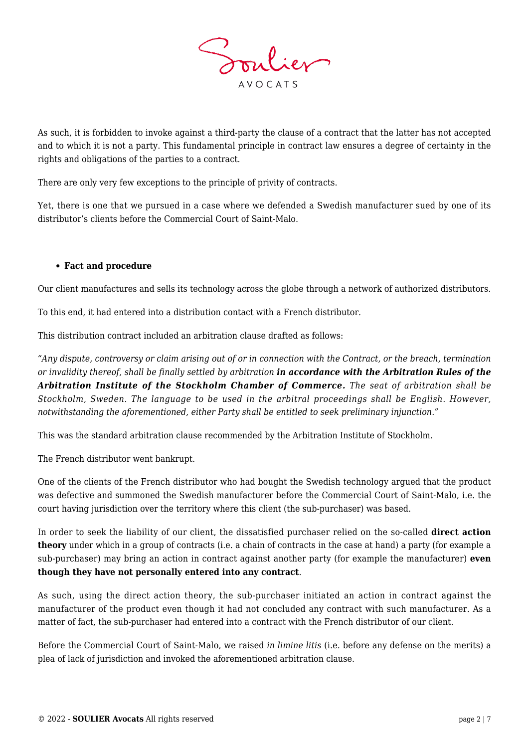

As such, it is forbidden to invoke against a third-party the clause of a contract that the latter has not accepted and to which it is not a party. This fundamental principle in contract law ensures a degree of certainty in the rights and obligations of the parties to a contract.

There are only very few exceptions to the principle of privity of contracts.

Yet, there is one that we pursued in a case where we defended a Swedish manufacturer sued by one of its distributor's clients before the Commercial Court of Saint-Malo.

#### **Fact and procedure**

Our client manufactures and sells its technology across the globe through a network of authorized distributors.

To this end, it had entered into a distribution contact with a French distributor.

This distribution contract included an arbitration clause drafted as follows:

*"Any dispute, controversy or claim arising out of or in connection with the Contract, or the breach, termination or invalidity thereof, shall be finally settled by arbitration in accordance with the Arbitration Rules of the Arbitration Institute of the Stockholm Chamber of Commerce. The seat of arbitration shall be Stockholm, Sweden. The language to be used in the arbitral proceedings shall be English. However, notwithstanding the aforementioned, either Party shall be entitled to seek preliminary injunction."*

This was the standard arbitration clause recommended by the Arbitration Institute of Stockholm.

The French distributor went bankrupt.

One of the clients of the French distributor who had bought the Swedish technology argued that the product was defective and summoned the Swedish manufacturer before the Commercial Court of Saint-Malo, i.e. the court having jurisdiction over the territory where this client (the sub-purchaser) was based.

In order to seek the liability of our client, the dissatisfied purchaser relied on the so-called **direct action theory** under which in a group of contracts (i.e. a chain of contracts in the case at hand) a party (for example a sub-purchaser) may bring an action in contract against another party (for example the manufacturer) **even though they have not personally entered into any contract**.

As such, using the direct action theory, the sub-purchaser initiated an action in contract against the manufacturer of the product even though it had not concluded any contract with such manufacturer. As a matter of fact, the sub-purchaser had entered into a contract with the French distributor of our client.

Before the Commercial Court of Saint-Malo, we raised *in limine litis* (i.e. before any defense on the merits) a plea of lack of jurisdiction and invoked the aforementioned arbitration clause.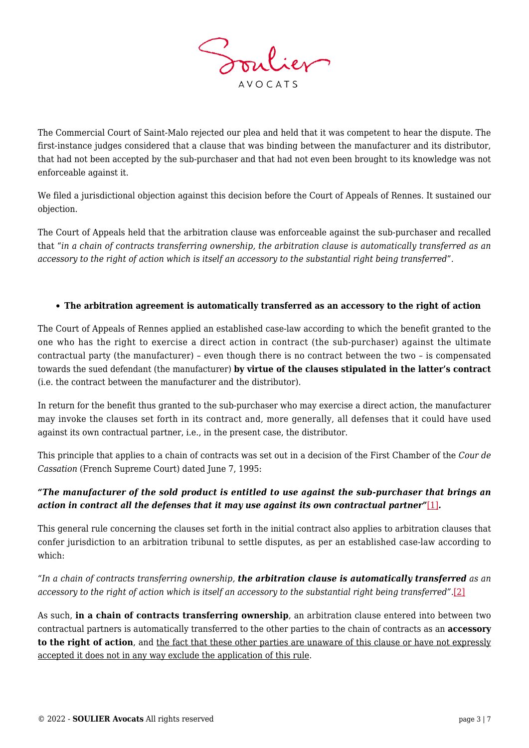

The Commercial Court of Saint-Malo rejected our plea and held that it was competent to hear the dispute. The first-instance judges considered that a clause that was binding between the manufacturer and its distributor, that had not been accepted by the sub-purchaser and that had not even been brought to its knowledge was not enforceable against it.

We filed a jurisdictional objection against this decision before the Court of Appeals of Rennes. It sustained our objection.

The Court of Appeals held that the arbitration clause was enforceable against the sub-purchaser and recalled that "*in a chain of contracts transferring ownership, the arbitration clause is automatically transferred as an accessory to the right of action which is itself an accessory to the substantial right being transferred*".

#### **The arbitration agreement is automatically transferred as an accessory to the right of action**

The Court of Appeals of Rennes applied an established case-law according to which the benefit granted to the one who has the right to exercise a direct action in contract (the sub-purchaser) against the ultimate contractual party (the manufacturer) – even though there is no contract between the two – is compensated towards the sued defendant (the manufacturer) **by virtue of the clauses stipulated in the latter's contract** (i.e. the contract between the manufacturer and the distributor).

In return for the benefit thus granted to the sub-purchaser who may exercise a direct action, the manufacturer may invoke the clauses set forth in its contract and, more generally, all defenses that it could have used against its own contractual partner, i.e., in the present case, the distributor.

This principle that applies to a chain of contracts was set out in a decision of the First Chamber of the *Cour de Cassation* (French Supreme Court) dated June 7, 1995:

#### <span id="page-2-0"></span>*"The manufacturer of the sold product is entitled to use against the sub-purchaser that brings an action in contract all the defenses that it may use against its own contractual partner"*[\[1\]](#page-5-0)*.*

This general rule concerning the clauses set forth in the initial contract also applies to arbitration clauses that confer jurisdiction to an arbitration tribunal to settle disputes, as per an established case-law according to which:

<span id="page-2-1"></span>*"In a chain of contracts transferring ownership, the arbitration clause is automatically transferred as an accessory to the right of action which is itself an accessory to the substantial right being transferred".*[\[2\]](#page-5-1)

As such, **in a chain of contracts transferring ownership**, an arbitration clause entered into between two contractual partners is automatically transferred to the other parties to the chain of contracts as an **accessory to the right of action**, and the fact that these other parties are unaware of this clause or have not expressly accepted it does not in any way exclude the application of this rule.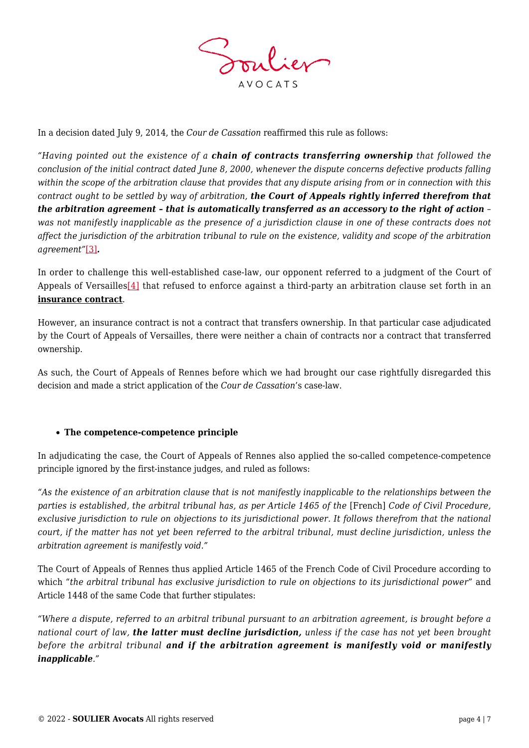

In a decision dated July 9, 2014, the *Cour de Cassation* reaffirmed this rule as follows:

*"Having pointed out the existence of a chain of contracts transferring ownership that followed the conclusion of the initial contract dated June 8, 2000, whenever the dispute concerns defective products falling within the scope of the arbitration clause that provides that any dispute arising from or in connection with this contract ought to be settled by way of arbitration, the Court of Appeals rightly inferred therefrom that the arbitration agreement – that is automatically transferred as an accessory to the right of action – was not manifestly inapplicable as the presence of a jurisdiction clause in one of these contracts does not affect the jurisdiction of the arbitration tribunal to rule on the existence, validity and scope of the arbitration agreement"*[\[3\]](#page-5-2)*.*

<span id="page-3-1"></span><span id="page-3-0"></span>In order to challenge this well-established case-law, our opponent referred to a judgment of the Court of Appeals of Versailles<sup>[4]</sup> that refused to enforce against a third-party an arbitration clause set forth in an **insurance contract**.

However, an insurance contract is not a contract that transfers ownership. In that particular case adjudicated by the Court of Appeals of Versailles, there were neither a chain of contracts nor a contract that transferred ownership.

As such, the Court of Appeals of Rennes before which we had brought our case rightfully disregarded this decision and made a strict application of the *Cour de Cassation*'s case-law.

#### **The competence-competence principle**

In adjudicating the case, the Court of Appeals of Rennes also applied the so-called competence-competence principle ignored by the first-instance judges, and ruled as follows:

*"As the existence of an arbitration clause that is not manifestly inapplicable to the relationships between the parties is established, the arbitral tribunal has, as per Article 1465 of the* [French] *Code of Civil Procedure, exclusive jurisdiction to rule on objections to its jurisdictional power. It follows therefrom that the national court, if the matter has not yet been referred to the arbitral tribunal, must decline jurisdiction, unless the arbitration agreement is manifestly void."*

The Court of Appeals of Rennes thus applied Article 1465 of the French Code of Civil Procedure according to which "*the arbitral tribunal has exclusive jurisdiction to rule on objections to its jurisdictional power*" and Article 1448 of the same Code that further stipulates:

*"Where a dispute, referred to an arbitral tribunal pursuant to an arbitration agreement, is brought before a national court of law, the latter must decline jurisdiction, unless if the case has not yet been brought before the arbitral tribunal and if the arbitration agreement is manifestly void or manifestly inapplicable."*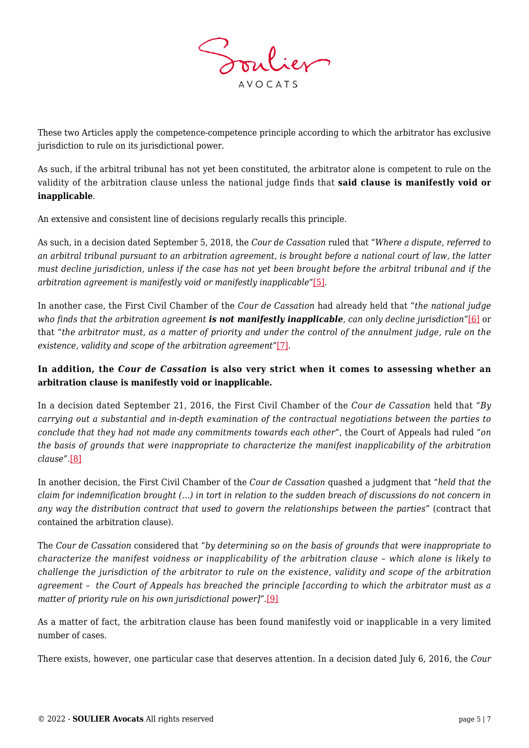

These two Articles apply the competence-competence principle according to which the arbitrator has exclusive jurisdiction to rule on its jurisdictional power.

As such, if the arbitral tribunal has not yet been constituted, the arbitrator alone is competent to rule on the validity of the arbitration clause unless the national judge finds that **said clause is manifestly void or inapplicable**.

An extensive and consistent line of decisions regularly recalls this principle.

As such, in a decision dated September 5, 2018, the *Cour de Cassation* ruled that "*Where a dispute, referred to an arbitral tribunal pursuant to an arbitration agreement, is brought before a national court of law, the latter must decline jurisdiction, unless if the case has not yet been brought before the arbitral tribunal and if the arbitration agreement is manifestly void or manifestly inapplicable*"[\[5\]](#page-5-4).

<span id="page-4-1"></span><span id="page-4-0"></span>In another case, the First Civil Chamber of the *Cour de Cassation* had already held that "*the national judge who finds that the arbitration agreement is not manifestly inapplicable, can only decline jurisdiction*["\[6\]](#page-5-5) or that "*the arbitrator must, as a matter of priority and under the control of the annulment judge, rule on the existence, validity and scope of the arbitration agreement*"[\[7\]](#page-5-6).

### <span id="page-4-2"></span>**In addition, the** *Cour de Cassation* **is also very strict when it comes to assessing whether an arbitration clause is manifestly void or inapplicable.**

In a decision dated September 21, 2016, the First Civil Chamber of the *Cour de Cassation* held that "*By carrying out a substantial and in-depth examination of the contractual negotiations between the parties to conclude that they had not made any commitments towards each other*", the Court of Appeals had ruled "*on the basis of grounds that were inappropriate to characterize the manifest inapplicability of the arbitration clause*".[\[8\]](#page-5-7)

<span id="page-4-3"></span>In another decision, the First Civil Chamber of the *Cour de Cassation* quashed a judgment that "*held that the claim for indemnification brought (…) in tort in relation to the sudden breach of discussions do not concern in any way the distribution contract that used to govern the relationships between the parties"* (contract that contained the arbitration clause).

The *Cour de Cassation* considered that "*by determining so on the basis of grounds that were inappropriate to characterize the manifest voidness or inapplicability of the arbitration clause – which alone is likely to challenge the jurisdiction of the arbitrator to rule on the existence, validity and scope of the arbitration agreement – the Court of Appeals has breached the principle [according to which the arbitrator must as a matter of priority rule on his own jurisdictional power]".*[\[9\]](#page-5-8)

<span id="page-4-4"></span>As a matter of fact, the arbitration clause has been found manifestly void or inapplicable in a very limited number of cases.

There exists, however, one particular case that deserves attention. In a decision dated July 6, 2016, the *Cour*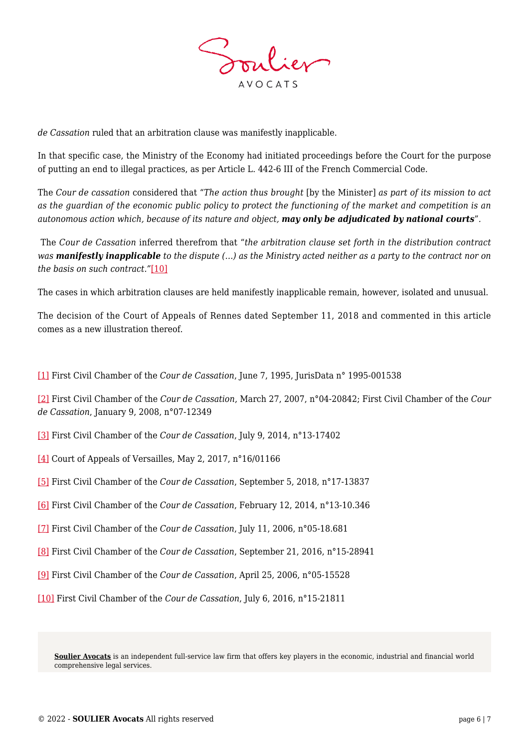

*de Cassation* ruled that an arbitration clause was manifestly inapplicable.

In that specific case, the Ministry of the Economy had initiated proceedings before the Court for the purpose of putting an end to illegal practices, as per Article L. 442-6 III of the French Commercial Code.

The *Cour de cassation* considered that "*The action thus brought* [by the Minister] *as part of its mission to act as the guardian of the economic public policy to protect the functioning of the market and competition is an autonomous action which, because of its nature and object, may only be adjudicated by national courts*"*.*

The *Cour de Cassation* inferred therefrom that "*the arbitration clause set forth in the distribution contract was manifestly inapplicable to the dispute (…) as the Ministry acted neither as a party to the contract nor on the basis on such contract."*[\[10\]](#page-5-9)

<span id="page-5-10"></span>The cases in which arbitration clauses are held manifestly inapplicable remain, however, isolated and unusual.

The decision of the Court of Appeals of Rennes dated September 11, 2018 and commented in this article comes as a new illustration thereof.

<span id="page-5-0"></span>[\[1\]](#page-2-0) First Civil Chamber of the *Cour de Cassation*, June 7, 1995, JurisData n° 1995-001538

<span id="page-5-1"></span>[\[2\]](#page-2-1) First Civil Chamber of the *Cour de Cassation*, March 27, 2007, n°04-20842; First Civil Chamber of the *Cour de Cassation*, January 9, 2008, n°07-12349

- <span id="page-5-2"></span>[\[3\]](#page-3-0) First Civil Chamber of the *Cour de Cassation*, July 9, 2014, n°13-17402
- <span id="page-5-3"></span>[\[4\]](#page-3-1) Court of Appeals of Versailles, May 2, 2017, n°16/01166
- <span id="page-5-4"></span>[\[5\]](#page-4-0) First Civil Chamber of the *Cour de Cassation*, September 5, 2018, n°17-13837
- <span id="page-5-5"></span>[\[6\]](#page-4-1) First Civil Chamber of the *Cour de Cassation*, February 12, 2014, n°13-10.346
- <span id="page-5-6"></span>[\[7\]](#page-4-2) First Civil Chamber of the *Cour de Cassation*, July 11, 2006, n°05-18.681
- <span id="page-5-7"></span>[\[8\]](#page-4-3) First Civil Chamber of the *Cour de Cassation*, September 21, 2016, n°15-28941
- <span id="page-5-8"></span>[\[9\]](#page-4-4) First Civil Chamber of the *Cour de Cassation*, April 25, 2006, n°05-15528
- <span id="page-5-9"></span>[\[10\]](#page-5-10) First Civil Chamber of the *Cour de Cassation*, July 6, 2016, n°15-21811

**[Soulier Avocats](https://www.soulier-avocats.com)** is an independent full-service law firm that offers key players in the economic, industrial and financial world comprehensive legal services.